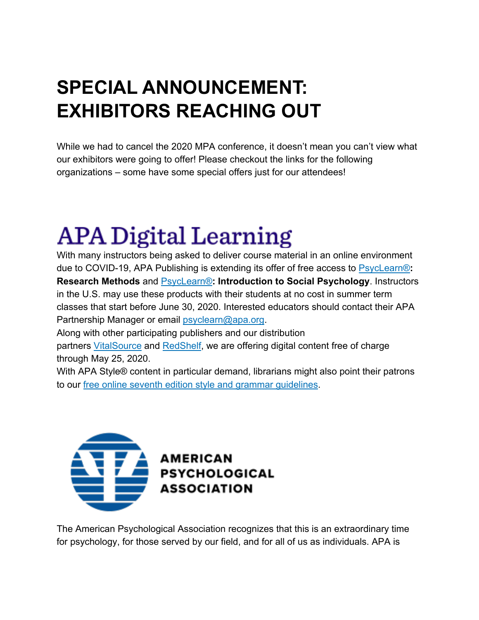### **SPECIAL ANNOUNCEMENT: EXHIBITORS REACHING OUT**

While we had to cancel the 2020 MPA conference, it doesn't mean you can't view what our exhibitors were going to offer! Please checkout the links for the following organizations – some have some special offers just for our attendees!

## **APA Digital Learning**

With many instructors being asked to deliver course material in an online environment due to COVID-19, APA Publishing is extending its offer of free access to PsycLearn®**: Research Methods** and PsycLearn®**: Introduction to Social Psychology**. Instructors in the U.S. may use these products with their students at no cost in summer term classes that start before June 30, 2020. Interested educators should contact their APA Partnership Manager or email psyclearn@apa.org.

Along with other participating publishers and our distribution

partners VitalSource and RedShelf, we are offering digital content free of charge through May 25, 2020.

With APA Style® content in particular demand, librarians might also point their patrons to our free online seventh edition style and grammar guidelines.



The American Psychological Association recognizes that this is an extraordinary time for psychology, for those served by our field, and for all of us as individuals. APA is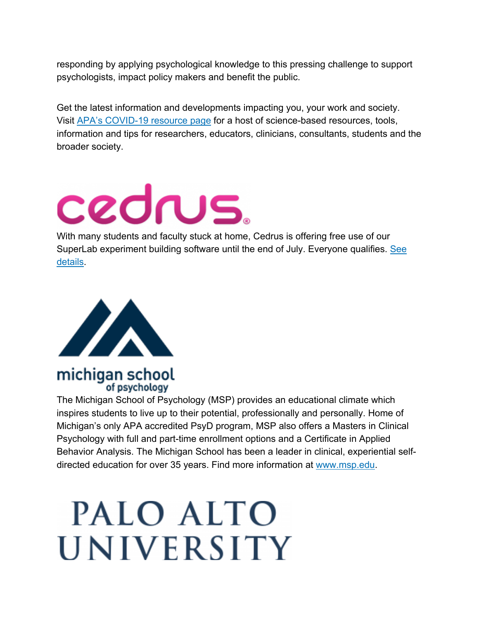responding by applying psychological knowledge to this pressing challenge to support psychologists, impact policy makers and benefit the public.

Get the latest information and developments impacting you, your work and society. Visit APA's COVID-19 resource page for a host of science-based resources, tools, information and tips for researchers, educators, clinicians, consultants, students and the broader society.

# cedrus.

With many students and faculty stuck at home, Cedrus is offering free use of our SuperLab experiment building software until the end of July. Everyone qualifies. See details.



### michigan school of psychology

The Michigan School of Psychology (MSP) provides an educational climate which inspires students to live up to their potential, professionally and personally. Home of Michigan's only APA accredited PsyD program, MSP also offers a Masters in Clinical Psychology with full and part-time enrollment options and a Certificate in Applied Behavior Analysis. The Michigan School has been a leader in clinical, experiential selfdirected education for over 35 years. Find more information at www.msp.edu.

# PALO ALTO **UNIVERSITY**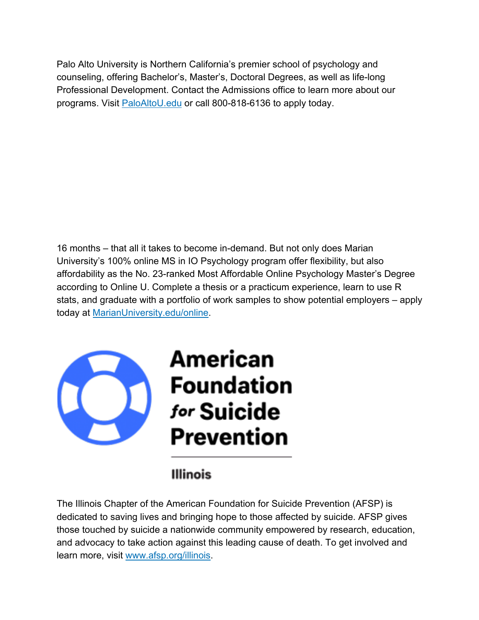Palo Alto University is Northern California's premier school of psychology and counseling, offering Bachelor's, Master's, Doctoral Degrees, as well as life-long Professional Development. Contact the Admissions office to learn more about our programs. Visit PaloAltoU.edu or call 800-818-6136 to apply today.

16 months – that all it takes to become in-demand. But not only does Marian University's 100% online MS in IO Psychology program offer flexibility, but also affordability as the No. 23-ranked Most Affordable Online Psychology Master's Degree according to Online U. Complete a thesis or a practicum experience, learn to use R stats, and graduate with a portfolio of work samples to show potential employers – apply today at MarianUniversity.edu/online.



### **Illinois**

The Illinois Chapter of the American Foundation for Suicide Prevention (AFSP) is dedicated to saving lives and bringing hope to those affected by suicide. AFSP gives those touched by suicide a nationwide community empowered by research, education, and advocacy to take action against this leading cause of death. To get involved and learn more, visit www.afsp.org/illinois.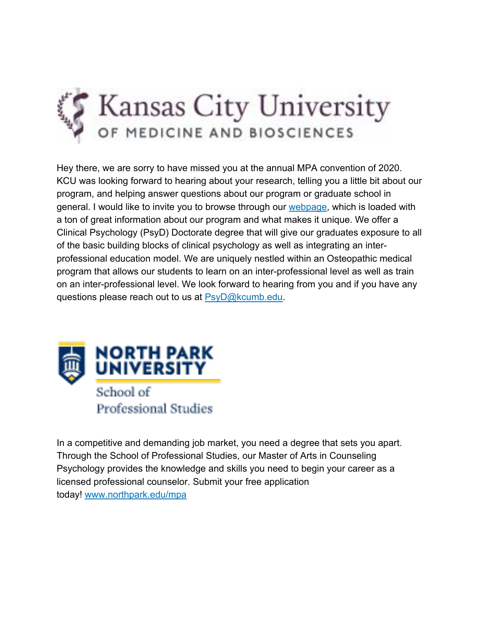

Hey there, we are sorry to have missed you at the annual MPA convention of 2020. KCU was looking forward to hearing about your research, telling you a little bit about our program, and helping answer questions about our program or graduate school in general. I would like to invite you to browse through our webpage, which is loaded with a ton of great information about our program and what makes it unique. We offer a Clinical Psychology (PsyD) Doctorate degree that will give our graduates exposure to all of the basic building blocks of clinical psychology as well as integrating an interprofessional education model. We are uniquely nestled within an Osteopathic medical program that allows our students to learn on an inter-professional level as well as train on an inter-professional level. We look forward to hearing from you and if you have any questions please reach out to us at PsyD@kcumb.edu.



In a competitive and demanding job market, you need a degree that sets you apart. Through the School of Professional Studies, our Master of Arts in Counseling Psychology provides the knowledge and skills you need to begin your career as a licensed professional counselor. Submit your free application today! www.northpark.edu/mpa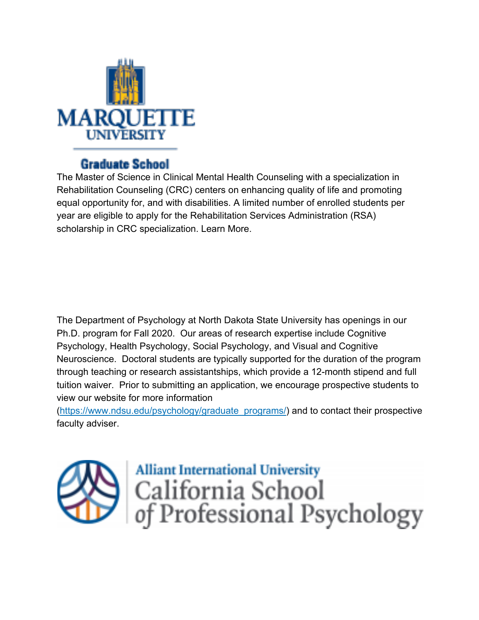

### **Graduate School**

The Master of Science in Clinical Mental Health Counseling with a specialization in Rehabilitation Counseling (CRC) centers on enhancing quality of life and promoting equal opportunity for, and with disabilities. A limited number of enrolled students per year are eligible to apply for the Rehabilitation Services Administration (RSA) scholarship in CRC specialization. Learn More.

The Department of Psychology at North Dakota State University has openings in our Ph.D. program for Fall 2020. Our areas of research expertise include Cognitive Psychology, Health Psychology, Social Psychology, and Visual and Cognitive Neuroscience. Doctoral students are typically supported for the duration of the program through teaching or research assistantships, which provide a 12-month stipend and full tuition waiver. Prior to submitting an application, we encourage prospective students to view our website for more information

(https://www.ndsu.edu/psychology/graduate\_programs/) and to contact their prospective faculty adviser.



**Alliant International University** California School<br>of Professional Psychology